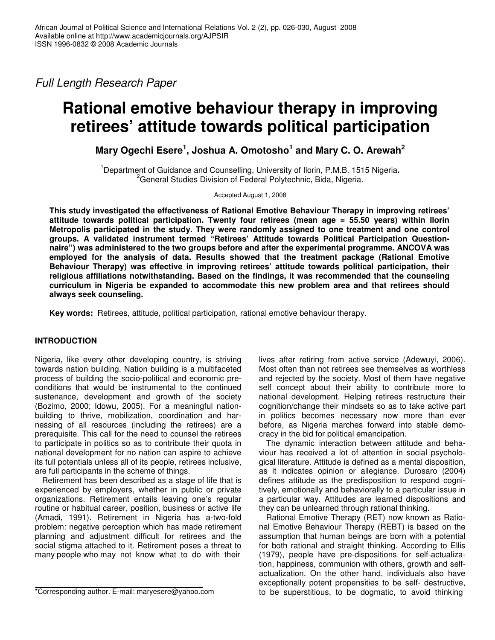*Full Length Research Paper*

# **Rational emotive behaviour therapy in improving retirees' attitude towards political participation**

**Mary Ogechi Esere 1 , Joshua A. Omotosho 1 and Mary C. O. Arewah 2**

<sup>1</sup>Department of Guidance and Counselling, University of Ilorin, P.M.B. 1515 Nigeria**.** <sup>2</sup>General Studies Division of Federal Polytechnic, Bida, Nigeria.

Accepted August 1, 2008

**This study investigated the effectiveness of Rational Emotive Behaviour Therapy in improving retirees' attitude towards political participation. Twenty four retirees (mean age = 55.50 years) within Ilorin Metropolis participated in the study. They were randomly assigned to one treatment and one control groups. A validated instrument termed "Retirees' Attitude towards Political Participation Questionnaire") was administered to the two groups before and after the experimental programme. ANCOVA was employed for the analysis of data. Results showed that the treatment package (Rational Emotive Behaviour Therapy) was effective in improving retirees' attitude towards political participation, their religious affiliations notwithstanding. Based on the findings, it was recommended that the counseling curriculum in Nigeria be expanded to accommodate this new problem area and that retirees should always seek counseling.**

**Key words:** Retirees, attitude, political participation, rational emotive behaviour therapy.

# **INTRODUCTION**

Nigeria, like every other developing country, is striving towards nation building. Nation building is a multifaceted process of building the socio-political and economic preconditions that would be instrumental to the continued sustenance, development and growth of the society (Bozimo, 2000; Idowu, 2005). For a meaningful nationbuilding to thrive, mobilization, coordination and harnessing of all resources (including the retirees) are a prerequisite. This call for the need to counsel the retirees to participate in politics so as to contribute their quota in national development for no nation can aspire to achieve its full potentials unless all of its people, retirees inclusive, are full participants in the scheme of things.

Retirement has been described as a stage of life that is experienced by employers, whether in public or private organizations. Retirement entails leaving one's regular routine or habitual career, position, business or active life (Amadi, 1991). Retirement in Nigeria has a-two-fold problem: negative perception which has made retirement planning and adjustment difficult for retirees and the social stigma attached to it. Retirement poses a threat to many people who may not know what to do with their

\*Corresponding author. E-mail: maryesere@yahoo.com

lives after retiring from active service (Adewuyi, 2006). Most often than not retirees see themselves as worthless and rejected by the society. Most of them have negative self concept about their ability to contribute more to national development. Helping retirees restructure their cognition/change their mindsets so as to take active part in politics becomes necessary now more than ever before, as Nigeria marches forward into stable democracy in the bid for political emancipation.

The dynamic interaction between attitude and behaviour has received a lot of attention in social psychological literature. Attitude is defined as a mental disposition, as it indicates opinion or allegiance. Durosaro (2004) defines attitude as the predisposition to respond cognitively, emotionally and behaviorally to a particular issue in a particular way. Attitudes are learned dispositions and they can be unlearned through rational thinking.

Rational Emotive Therapy (RET) now known as Rational Emotive Behaviour Therapy (REBT) is based on the assumption that human beings are born with a potential for both rational and straight thinking. According to Ellis (1979), people have pre-dispositions for self-actualization, happiness, communion with others, growth and selfactualization. On the other hand, individuals also have exceptionally potent propensities to be self- destructive, to be superstitious, to be dogmatic, to avoid thinking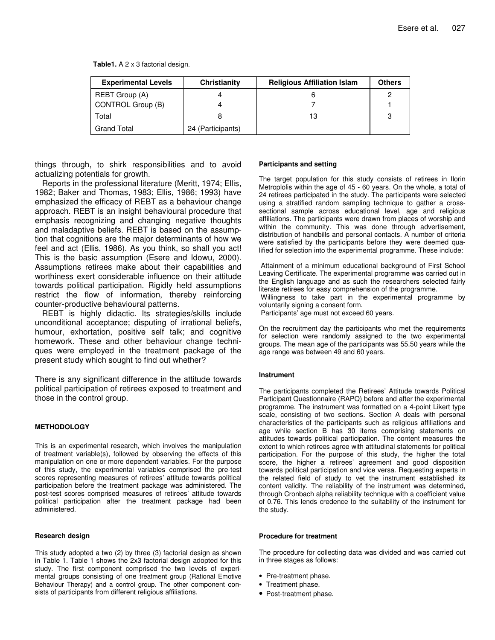**Table1.** A 2 x 3 factorial design.

| <b>Experimental Levels</b> | Christianity      | <b>Religious Affiliation Islam</b> | <b>Others</b> |
|----------------------------|-------------------|------------------------------------|---------------|
| REBT Group (A)             |                   |                                    |               |
| CONTROL Group (B)          |                   |                                    |               |
| Total                      |                   | 13                                 | 3             |
| <b>Grand Total</b>         | 24 (Participants) |                                    |               |

things through, to shirk responsibilities and to avoid actualizing potentials for growth.

Reports in the professional literature (Meritt, 1974; Ellis, 1982; Baker and Thomas, 1983; Ellis, 1986; 1993) have emphasized the efficacy of REBT as a behaviour change approach. REBT is an insight behavioural procedure that emphasis recognizing and changing negative thoughts and maladaptive beliefs. REBT is based on the assumption that cognitions are the major determinants of how we feel and act (Ellis, 1986). As you think, so shall you act! This is the basic assumption (Esere and Idowu, 2000). Assumptions retirees make about their capabilities and worthiness exert considerable influence on their attitude towards political participation. Rigidly held assumptions restrict the flow of information, thereby reinforcing counter-productive behavioural patterns.

REBT is highly didactic. Its strategies/skills include unconditional acceptance; disputing of irrational beliefs, humour, exhortation, positive self talk; and cognitive homework. These and other behaviour change techniques were employed in the treatment package of the present study which sought to find out whether?

There is any significant difference in the attitude towards political participation of retirees exposed to treatment and those in the control group.

## **METHODOLOGY**

This is an experimental research, which involves the manipulation of treatment variable(s), followed by observing the effects of this manipulation on one or more dependent variables. For the purpose of this study, the experimental variables comprised the pre-test scores representing measures of retirees' attitude towards political participation before the treatment package was administered. The post-test scores comprised measures of retirees' attitude towards political participation after the treatment package had been administered.

## **Research design**

This study adopted a two (2) by three (3) factorial design as shown in Table 1. Table 1 shows the 2x3 factorial design adopted for this study. The first component comprised the two levels of experimental groups consisting of one treatment group (Rational Emotive Behaviour Therapy) and a control group. The other component consists of participants from different religious affiliations.

## **Participants and setting**

The target population for this study consists of retirees in Ilorin Metroplolis within the age of 45 - 60 years. On the whole, a total of 24 retirees participated in the study. The participants were selected using a stratified random sampling technique to gather a crosssectional sample across educational level, age and religious affiliations. The participants were drawn from places of worship and within the community. This was done through advertisement, distribution of handbills and personal contacts. A number of criteria were satisfied by the participants before they were deemed qualified for selection into the experimental programme. These include:

Attainment of a minimum educational background of First School Leaving Certificate. The experimental programme was carried out in the English language and as such the researchers selected fairly literate retirees for easy comprehension of the programme.

Willingness to take part in the experimental programme by voluntarily signing a consent form.

Participants' age must not exceed 60 years.

On the recruitment day the participants who met the requirements for selection were randomly assigned to the two experimental groups. The mean age of the participants was 55.50 years while the age range was between 49 and 60 years.

#### **Instrument**

The participants completed the Retirees' Attitude towards Political Participant Questionnaire (RAPQ) before and after the experimental programme. The instrument was formatted on a 4-point Likert type scale, consisting of two sections. Section A deals with personal characteristics of the participants such as religious affiliations and age while section B has 30 items comprising statements on attitudes towards political participation. The content measures the extent to which retirees agree with attitudinal statements for political participation. For the purpose of this study, the higher the total score, the higher a retirees' agreement and good disposition towards political participation and vice versa. Requesting experts in the related field of study to vet the instrument established its content validity. The reliability of the instrument was determined, through Cronbach alpha reliability technique with a coefficient value of 0.76. This lends credence to the suitability of the instrument for the study.

#### **Procedure for treatment**

The procedure for collecting data was divided and was carried out in three stages as follows:

- Pre-treatment phase.
- Treatment phase.
- Post-treatment phase.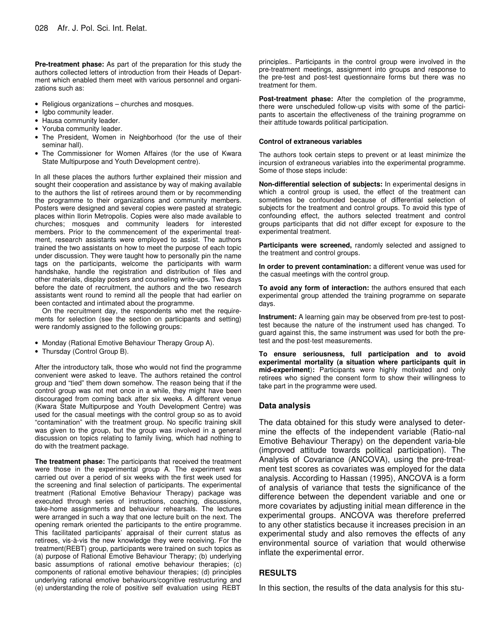**Pre-treatment phase:** As part of the preparation for this study the authors collected letters of introduction from their Heads of Department which enabled them meet with various personnel and organizations such as:

- Religious organizations churches and mosques.
- Igbo community leader.
- Hausa community leader.
- Yoruba community leader.
- The President, Women in Neighborhood (for the use of their seminar hall).
- The Commissioner for Women Affaires (for the use of Kwara State Multipurpose and Youth Development centre).

In all these places the authors further explained their mission and sought their cooperation and assistance by way of making available to the authors the list of retirees around them or by recommending the programme to their organizations and community members. Posters were designed and several copies were pasted at strategic places within Ilorin Metropolis. Copies were also made available to churches; mosques and community leaders for interested members. Prior to the commencement of the experimental treatment, research assistants were employed to assist. The authors trained the two assistants on how to meet the purpose of each topic under discussion. They were taught how to personally pin the name tags on the participants, welcome the participants with warm handshake, handle the registration and distribution of files and other materials, display posters and counseling write-ups. Two days before the date of recruitment, the authors and the two research assistants went round to remind all the people that had earlier on been contacted and intimated about the programme.

On the recruitment day, the respondents who met the requirements for selection (see the section on participants and setting) were randomly assigned to the following groups:

- Monday (Rational Emotive Behaviour Therapy Group A).
- Thursday (Control Group B).

After the introductory talk, those who would not find the programme convenient were asked to leave. The authors retained the control group and "tied" them down somehow. The reason being that if the control group was not met once in a while, they might have been discouraged from coming back after six weeks. A different venue (Kwara State Multipurpose and Youth Development Centre) was used for the casual meetings with the control group so as to avoid "contamination" with the treatment group. No specific training skill was given to the group, but the group was involved in a general discussion on topics relating to family living, which had nothing to do with the treatment package.

**The treatment phase:** The participants that received the treatment were those in the experimental group A. The experiment was carried out over a period of six weeks with the first week used for the screening and final selection of participants. The experimental treatment (Rational Emotive Behaviour Therapy) package was executed through series of instructions, coaching, discussions, take-home assignments and behaviour rehearsals. The lectures were arranged in such a way that one lecture built on the next. The opening remark oriented the participants to the entire programme. This facilitated participants' appraisal of their current status as retirees, vis-à-vis the new knowledge they were receiving. For the treatment(REBT) group, participants were trained on such topics as (a) purpose of Rational Emotive Behaviour Therapy; (b) underlying basic assumptions of rational emotive behaviour therapies; (c) components of rational emotive behaviour therapies; (d) principles underlying rational emotive behaviours/cognitive restructuring and (e) understanding the role of positive self evaluation using REBT

principles.. Participants in the control group were involved in the pre-treatment meetings, assignment into groups and response to the pre-test and post-test questionnaire forms but there was no treatment for them.

**Post-treatment phase:** After the completion of the programme, there were unscheduled follow-up visits with some of the participants to ascertain the effectiveness of the training programme on their attitude towards political participation.

#### **Control of extraneous variables**

The authors took certain steps to prevent or at least minimize the incursion of extraneous variables into the experimental programme. Some of those steps include:

**Non-differential selection of subjects:** In experimental designs in which a control group is used, the effect of the treatment can sometimes be confounded because of differential selection of subjects for the treatment and control groups. To avoid this type of confounding effect, the authors selected treatment and control groups participants that did not differ except for exposure to the experimental treatment.

**Participants were screened,** randomly selected and assigned to the treatment and control groups.

**In order to prevent contamination:** a different venue was used for the casual meetings with the control group.

**To avoid any form of interaction:** the authors ensured that each experimental group attended the training programme on separate days.

**Instrument:** A learning gain may be observed from pre-test to posttest because the nature of the instrument used has changed. To guard against this, the same instrument was used for both the pretest and the post-test measurements.

**To ensure seriousness, full participation and to avoid experimental mortality (a situation where participants quit in mid-experiment**)**:** Participants were highly motivated and only retirees who signed the consent form to show their willingness to take part in the programme were used.

## **Data analysis**

The data obtained for this study were analysed to determine the effects of the independent variable (Ratio-nal Emotive Behaviour Therapy) on the dependent varia-ble (improved attitude towards political participation). The Analysis of Covariance (ANCOVA), using the pre-treatment test scores as covariates was employed for the data analysis. According to Hassan (1995), ANCOVA is a form of analysis of variance that tests the significance of the difference between the dependent variable and one or more covariates by adjusting initial mean difference in the experimental groups. ANCOVA was therefore preferred to any other statistics because it increases precision in an experimental study and also removes the effects of any environmental source of variation that would otherwise inflate the experimental error.

## **RESULTS**

In this section, the results of the data analysis for this stu-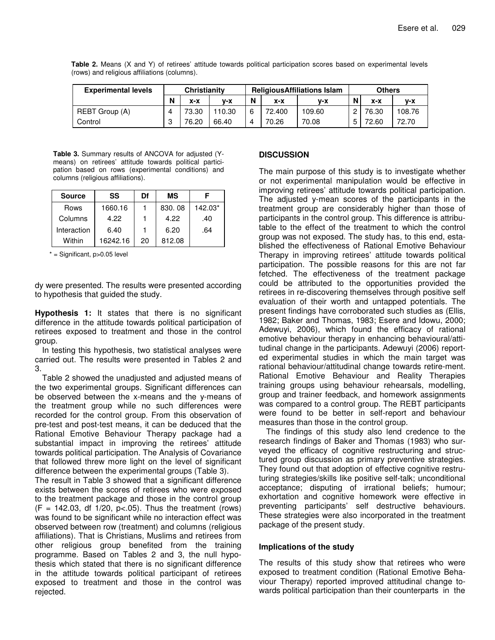| <b>Experimental levels</b> | Christianity |       | <b>ReligiousAffiliations Islam</b> |   |        | <b>Others</b> |   |       |        |
|----------------------------|--------------|-------|------------------------------------|---|--------|---------------|---|-------|--------|
|                            | N            | x-x   | v-x                                | N | x-x    | v-x           | N | x-x   | $V-X$  |
| REBT Group (A)             |              | 73.30 | 110.30                             |   | 72.400 | 109.60        |   | 76.30 | 108.76 |
| Control                    | 3            | 76.20 | 66.40                              |   | 70.26  | 70.08         |   | 72.60 | 72.70  |

**Table 2.** Means (X and Y) of retirees' attitude towards political participation scores based on experimental levels (rows) and religious affiliations (columns).

**Table 3.** Summary results of ANCOVA for adjusted (Ymeans) on retirees' attitude towards political participation based on rows (experimental conditions) and columns (religious affiliations).

| <b>Source</b> | SS       | Df | ΜS     |         |
|---------------|----------|----|--------|---------|
| Rows          | 1660.16  |    | 830.08 | 142.03* |
| Columns       | 4.22     |    | 4.22   | .40     |
| Interaction   | 6.40     |    | 6.20   | .64     |
| Within        | 16242.16 | 20 | 812.08 |         |

 $*$  = Significant,  $p > 0.05$  level

dy were presented. The results were presented according to hypothesis that guided the study.

**Hypothesis 1:** It states that there is no significant difference in the attitude towards political participation of retirees exposed to treatment and those in the control group.

In testing this hypothesis, two statistical analyses were carried out. The results were presented in Tables 2 and 3.

Table 2 showed the unadjusted and adjusted means of the two experimental groups. Significant differences can be observed between the x-means and the y-means of the treatment group while no such differences were recorded for the control group. From this observation of pre-test and post-test means, it can be deduced that the Rational Emotive Behaviour Therapy package had a substantial impact in improving the retirees' attitude towards political participation. The Analysis of Covariance that followed threw more light on the level of significant difference between the experimental groups (Table 3).

The result in Table 3 showed that a significant difference exists between the scores of retirees who were exposed to the treatment package and those in the control group  $(F = 142.03, df \frac{1}{20}, p < .05)$ . Thus the treatment (rows) was found to be significant while no interaction effect was observed between row (treatment) and columns (religious affiliations). That is Christians, Muslims and retirees from other religious group benefited from the training programme. Based on Tables 2 and 3, the null hypothesis which stated that there is no significant difference in the attitude towards political participant of retirees exposed to treatment and those in the control was rejected.

## **DISCUSSION**

The main purpose of this study is to investigate whether or not experimental manipulation would be effective in improving retirees' attitude towards political participation. The adjusted y-mean scores of the participants in the treatment group are considerably higher than those of participants in the control group. This difference is attributable to the effect of the treatment to which the control group was not exposed. The study has, to this end, established the effectiveness of Rational Emotive Behaviour Therapy in improving retirees' attitude towards political participation. The possible reasons for this are not far fetched. The effectiveness of the treatment package could be attributed to the opportunities provided the retirees in re-discovering themselves through positive self evaluation of their worth and untapped potentials. The present findings have corroborated such studies as (Ellis, 1982; Baker and Thomas, 1983; Esere and Idowu, 2000; Adewuyi, 2006), which found the efficacy of rational emotive behaviour therapy in enhancing behavioural/attitudinal change in the participants. Adewuyi (2006) reported experimental studies in which the main target was rational behaviour/attitudinal change towards retire-ment. Rational Emotive Behaviour and Reality Therapies training groups using behaviour rehearsals, modelling, group and trainer feedback, and homework assignments was compared to a control group. The REBT participants were found to be better in self-report and behaviour measures than those in the control group.

The findings of this study also lend credence to the research findings of Baker and Thomas (1983) who surveyed the efficacy of cognitive restructuring and structured group discussion as primary preventive strategies. They found out that adoption of effective cognitive restruturing strategies/skills like positive self-talk; unconditional acceptance; disputing of irrational beliefs; humour; exhortation and cognitive homework were effective in preventing participants' self destructive behaviours. These strategies were also incorporated in the treatment package of the present study.

## **Implications of the study**

The results of this study show that retirees who were exposed to treatment condition (Rational Emotive Behaviour Therapy) reported improved attitudinal change towards political participation than their counterparts in the